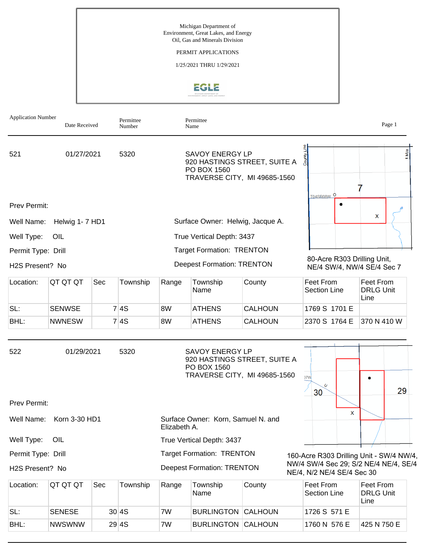Michigan Department of Environment, Great Lakes, and Energy Oil, Gas and Minerals Division

## PERMIT APPLICATIONS

1/25/2021 THRU 1/29/2021



| <b>Application Number</b>    | Date Received          |     | Permittee<br>Number |                                                                                                       | Permittee<br>Name                                                                                     |                |                                                                     | Page 1                                |
|------------------------------|------------------------|-----|---------------------|-------------------------------------------------------------------------------------------------------|-------------------------------------------------------------------------------------------------------|----------------|---------------------------------------------------------------------|---------------------------------------|
| 521                          | 01/27/2021             |     | 5320                | <b>SAVOY ENERGY LP</b><br>920 HASTINGS STREET, SUITE A<br>PO BOX 1560<br>TRAVERSE CITY, MI 49685-1560 |                                                                                                       |                | uri Aunoc                                                           | 1 Mile                                |
| Prev Permit:                 |                        |     |                     |                                                                                                       |                                                                                                       |                | T04SR08W O                                                          |                                       |
| Well Name:                   | Helwig 1- 7 HD1        |     |                     |                                                                                                       | Surface Owner: Helwig, Jacque A.                                                                      |                |                                                                     | X                                     |
| Well Type:                   | OIL                    |     |                     |                                                                                                       | True Vertical Depth: 3437                                                                             |                |                                                                     |                                       |
| Permit Type: Drill           |                        |     |                     |                                                                                                       | <b>Target Formation: TRENTON</b>                                                                      |                |                                                                     |                                       |
| H <sub>2</sub> S Present? No |                        |     |                     |                                                                                                       | <b>Deepest Formation: TRENTON</b>                                                                     |                | 80-Acre R303 Drilling Unit,<br>NE/4 SW/4, NW/4 SE/4 Sec 7           |                                       |
| Location:                    | QT QT QT               | Sec | Township            | Range                                                                                                 | Township<br>Name                                                                                      | County         | Feet From<br>Section Line                                           | Feet From<br><b>DRLG Unit</b><br>Line |
| SL:                          | <b>SENWSE</b>          |     | 7 4S                | 8W                                                                                                    | <b>ATHENS</b>                                                                                         | <b>CALHOUN</b> | 1769 S 1701 E                                                       |                                       |
| BHL:                         | <b>NWNESW</b>          |     | 7 4S                | 8W                                                                                                    | <b>ATHENS</b>                                                                                         | CALHOUN        | 2370 S 1764 E                                                       | 370 N 410 W                           |
| 522                          | 01/29/2021             |     | 5320                |                                                                                                       | <b>SAVOY ENERGY LP</b><br>920 HASTINGS STREET, SUITE A<br>PO BOX 1560<br>TRAVERSE CITY, MI 49685-1560 |                | )7W<br>U<br>30                                                      | 29                                    |
| Prev Permit:                 |                        |     |                     |                                                                                                       |                                                                                                       |                |                                                                     |                                       |
| Well Name:                   | Korn 3-30 HD1          |     |                     | Elizabeth A.                                                                                          | Surface Owner: Korn, Samuel N. and                                                                    |                | X                                                                   |                                       |
| Well Type:                   | OIL                    |     |                     |                                                                                                       | True Vertical Depth: 3437                                                                             |                |                                                                     |                                       |
| Permit Type: Drill           |                        |     |                     |                                                                                                       | <b>Target Formation: TRENTON</b>                                                                      |                | 160-Acre R303 Drilling Unit - SW/4 NW/4,                            |                                       |
| H2S Present? No              |                        |     |                     | <b>Deepest Formation: TRENTON</b>                                                                     |                                                                                                       |                | NW/4 SW/4 Sec 29; S/2 NE/4 NE/4, SE/4<br>NE/4, N/2 NE/4 SE/4 Sec 30 |                                       |
| Location:                    | QT QT QT               | Sec | Township            | Range                                                                                                 | Township<br>Name                                                                                      | County         | Feet From<br><b>Section Line</b>                                    | Feet From<br><b>DRLG Unit</b><br>Line |
| SL:                          | <b>SENESE</b>          |     | 30 4S               | 7W                                                                                                    | <b>BURLINGTON</b>                                                                                     | <b>CALHOUN</b> | 1726 S 571 E                                                        |                                       |
| BHL:                         | 29 4S<br><b>NWSWNW</b> |     |                     |                                                                                                       | <b>BURLINGTON CALHOUN</b>                                                                             |                | 1760 N 576 E                                                        | 425 N 750 E                           |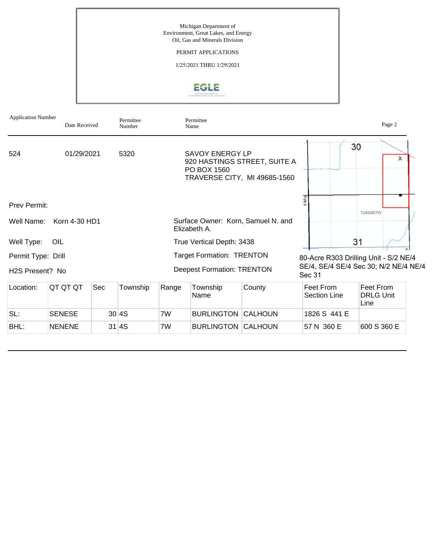Michigan Department of Environment, Great Lakes, and Energy Oil, Gas and Minerals Division

## PERMIT APPLICATIONS

1/25/2021 THRU 1/29/2021



| <b>Application Number</b>    | Date Received |     | Permittee<br>Number |                                  | Permittee<br>Name                                  |                                                              |                           | Page 2                                |
|------------------------------|---------------|-----|---------------------|----------------------------------|----------------------------------------------------|--------------------------------------------------------------|---------------------------|---------------------------------------|
| 524                          | 01/29/2021    |     | 5320                |                                  | <b>SAVOY ENERGY LP</b><br>PO BOX 1560              | 920 HASTINGS STREET, SUITE A<br>TRAVERSE CITY, MI 49685-1560 |                           | 30<br>X                               |
| Prev Permit:                 |               |     |                     |                                  |                                                    |                                                              | š                         | <b>T04SR07W</b>                       |
| Well Name:                   | Korn 4-30 HD1 |     |                     |                                  | Surface Owner: Korn, Samuel N. and<br>Elizabeth A. |                                                              |                           |                                       |
| Well Type:                   | OIL           |     |                     |                                  | True Vertical Depth: 3438                          |                                                              |                           | 31                                    |
| Permit Type: Drill           |               |     |                     | <b>Target Formation: TRENTON</b> |                                                    |                                                              |                           | 80-Acre R303 Drilling Unit - S/2 NE/4 |
| H <sub>2</sub> S Present? No |               |     |                     |                                  | <b>Deepest Formation: TRENTON</b>                  |                                                              | Sec 31                    | SE/4, SE/4 SE/4 Sec 30; N/2 NE/4 NE/4 |
| Location:                    | QT QT QT      | Sec | Township            | Range                            | Township<br>Name                                   | County                                                       | Feet From<br>Section Line | Feet From<br><b>DRLG Unit</b><br>Line |
| SL:                          | <b>SENESE</b> |     | 30 4S               | 7W                               | <b>BURLINGTON CALHOUN</b>                          |                                                              | 1826 S 441 E              |                                       |
| BHL:                         | <b>NENENE</b> |     | 31 4S               | 7W                               | <b>BURLINGTON CALHOUN</b>                          |                                                              | 57 N 360 E                | 600 S 360 E                           |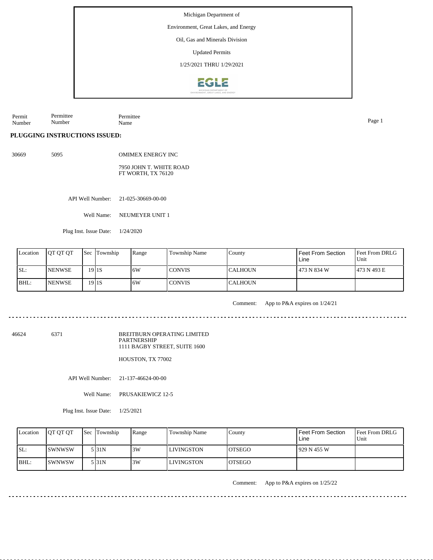Environment, Great Lakes, and Energy

Oil, Gas and Minerals Division

Updated Permits

1/25/2021 THRU 1/29/2021



Permit Number Permittee Number Permittee Name Page 1

**PLUGGING INSTRUCTIONS ISSUED:**

30669 5095

OMIMEX ENERGY INC 7950 JOHN T. WHITE ROAD

API Well Number: 21-025-30669-00-00

FT WORTH, TX 76120

Well Name: NEUMEYER UNIT 1

Plug Inst. Issue Date: 1/24/2020

| Location | <b>IOT OT OT</b> |                              | <b>Sec Township</b> | Range | Township Name | County          | I Feet From Section<br>Line | <b>Feet From DRLG</b><br>l Unit |
|----------|------------------|------------------------------|---------------------|-------|---------------|-----------------|-----------------------------|---------------------------------|
| ISL:     | <b>INENWSE</b>   | 19 <sup>1</sup> <sub>S</sub> |                     | ا 6W  | I CONVIS      | <b>ICALHOUN</b> | l 473 N 834 W               | 1473 N 493 E                    |
| IBHL:    | <b>INENWSE</b>   | $19$  1S                     |                     | ا 6W  | I CONVIS      | <b>CALHOUN</b>  |                             |                                 |

Comment: App to P&A expires on 1/24/21

46624 6371

BREITBURN OPERATING LIMITED PARTNERSHIP 1111 BAGBY STREET, SUITE 1600

HOUSTON, TX 77002

API Well Number: 21-137-46624-00-00

Well Name: PRUSAKIEWICZ 12-5

Plug Inst. Issue Date: 1/25/2021

| Location | <b>IOT OT OT</b> | <b>Sec Township</b> | Range | Township Name     | County         | Feet From Section<br>Line | Feet From DRLG<br>Unit |
|----------|------------------|---------------------|-------|-------------------|----------------|---------------------------|------------------------|
| ISL:     | <b>ISWNWSW</b>   | 5 3 1 N             | 3W    | <b>LIVINGSTON</b> | <b>IOTSEGO</b> | 929 N 455 W               |                        |
| BHL:     | <b>SWNWSW</b>    | 5 3 1 N             | 3W    | <b>LIVINGSTON</b> | <b>IOTSEGO</b> |                           |                        |

Comment: App to P&A expires on 1/25/22

<u>. . . . . . . . . . . . . . .</u>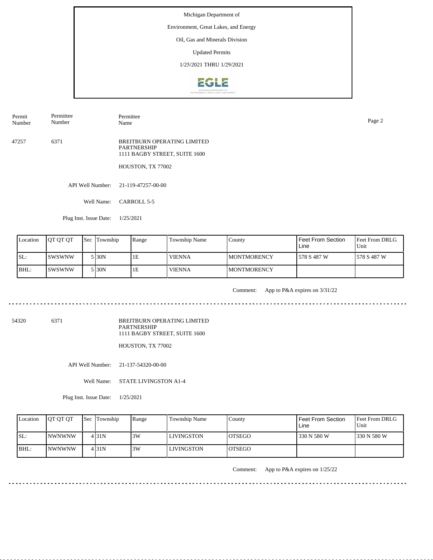Environment, Great Lakes, and Energy

# Oil, Gas and Minerals Division

Updated Permits

1/25/2021 THRU 1/29/2021



Permit Number Permittee Number

Permittee Name Page 2

47257 6371 BREITBURN OPERATING LIMITED PARTNERSHIP 1111 BAGBY STREET, SUITE 1600

HOUSTON, TX 77002

API Well Number: 21-119-47257-00-00

Well Name: CARROLL 5-5

Plug Inst. Issue Date: 1/25/2021

| Location | <b>IOT OT OT</b> | <b>Sec Township</b> | Range | Township Name | County              | Feet From Section<br>Line | Feet From DRLG<br>Unit |
|----------|------------------|---------------------|-------|---------------|---------------------|---------------------------|------------------------|
| ISL:     | ISWSWNW          | 5 I30N              | 1E    | <b>VIENNA</b> | <b>IMONTMORENCY</b> | 578 S 487 W               | 1578 S 487 W           |
| BHL:     | ISWSWNW          | 5 I30N              | 1E    | <b>VIENNA</b> | <b>IMONTMORENCY</b> |                           |                        |

<u>. . . . . . . . . .</u>

Comment: App to P&A expires on 3/31/22

54320 6371

BREITBURN OPERATING LIMITED PARTNERSHIP 1111 BAGBY STREET, SUITE 1600

HOUSTON, TX 77002

API Well Number: 21-137-54320-00-00

Well Name: STATE LIVINGSTON A1-4

Plug Inst. Issue Date: 1/25/2021

| Location | <b>OT OT OT</b> | <b>Sec</b> Township | Range | <b>Township Name</b> | County         | Feet From Section<br>Line | Feet From DRLG<br>Unit |
|----------|-----------------|---------------------|-------|----------------------|----------------|---------------------------|------------------------|
| ISL:     | <b>INWNWNW</b>  | 4 31N               | 3W    | <b>LIVINGSTON</b>    | <b>IOTSEGO</b> | 330 N 580 W               | 1330 N 580 W           |
| BHL:     | <i>INWNWNW</i>  | 4131N               | 3W    | <b>LIVINGSTON</b>    | <b>IOTSEGO</b> |                           |                        |

Comment: App to P&A expires on 1/25/22

<u>. . . . . . . .</u>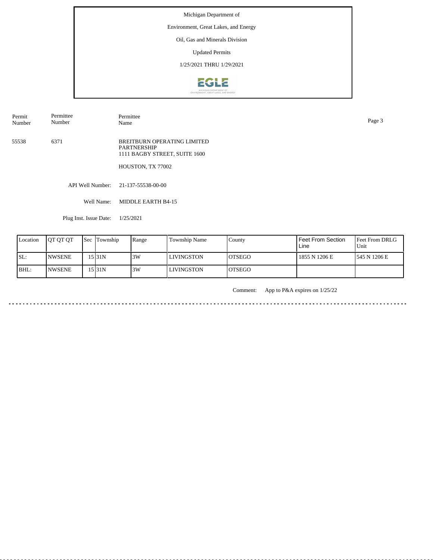Environment, Great Lakes, and Energy

# Oil, Gas and Minerals Division

Updated Permits

1/25/2021 THRU 1/29/2021



Permit Number Permittee Number

Permittee Name Page 3

55538 6371 BREITBURN OPERATING LIMITED PARTNERSHIP 1111 BAGBY STREET, SUITE 1600

HOUSTON, TX 77002

API Well Number: 21-137-55538-00-00

Well Name: MIDDLE EARTH B4-15

Plug Inst. Issue Date: 1/25/2021

| Location | <b>IOT OT OT</b> | <b>Sec Township</b> | Range | Township Name | County         | Feet From Section<br>Line | <b>Feet From DRLG</b><br>Unit |
|----------|------------------|---------------------|-------|---------------|----------------|---------------------------|-------------------------------|
| SL:      | <b>NWSENE</b>    | 15 I 31 N           | 3W    | LIVINGSTON    | <b>IOTSEGO</b> | 1855 N 1206 E             | 1545 N 1206 E                 |
| BHL:     | <b>INWSENE</b>   | 15 I31 N            | 3W    | LLIVINGSTON   | IOTSEGO        |                           |                               |

Comment: App to P&A expires on 1/25/22

in a change and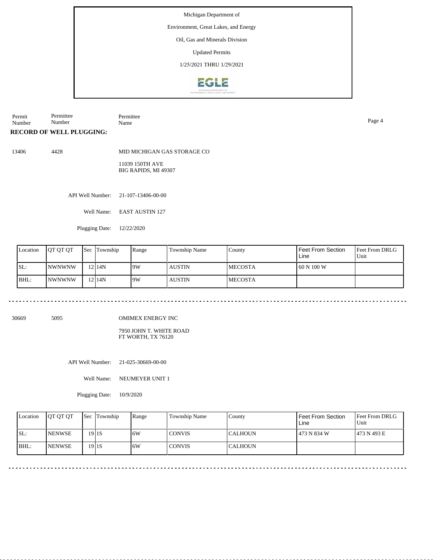Environment, Great Lakes, and Energy

## Oil, Gas and Minerals Division

Updated Permits

1/25/2021 THRU 1/29/2021



Permit Number Permittee Number Permittee Name Page 4

# **RECORD OF WELL PLUGGING:**

13406 4428

MID MICHIGAN GAS STORAGE CO

11039 150TH AVE BIG RAPIDS, MI 49307

API Well Number: 21-107-13406-00-00

Well Name: EAST AUSTIN 127

Plugging Date: 12/22/2020

| Location | <b>JOT OT OT</b> | Sec Township | Range | Township Name | County          | <b>Feet From Section</b><br>Line | <b>Feet From DRLG</b><br>Unit |
|----------|------------------|--------------|-------|---------------|-----------------|----------------------------------|-------------------------------|
| ISL:     | <b>INWNWNW</b>   | 12 I 14 N    | 19W   | <b>AUSTIN</b> | <b>IMECOSTA</b> | 60 N 100 W                       |                               |
| BHL:     | INWNWNW          | 12 I 14 N    | 19W   | <b>AUSTIN</b> | <b>IMECOSTA</b> |                                  |                               |

30669 5095

OMIMEX ENERGY INC

7950 JOHN T. WHITE ROAD FT WORTH, TX 76120

API Well Number: 21-025-30669-00-00

Well Name: NEUMEYER UNIT 1

Plugging Date: 10/9/2020

|     | Location | <b>JOT OT OT</b> | <b>Sec</b> Township | Range | Township Name | County         | Feet From Section<br>Line | <b>Feet From DRLG</b><br>Unit |
|-----|----------|------------------|---------------------|-------|---------------|----------------|---------------------------|-------------------------------|
| SL: |          | <b>INENWSE</b>   | 19 I 1 S            | 6W    | <b>CONVIS</b> | ICALHOUN       | 473 N 834 W               | 1473 N 493 E                  |
|     | BHL:     | <b>INENWSE</b>   | 19 I 1 S            | 6W    | <b>CONVIS</b> | <b>CALHOUN</b> |                           |                               |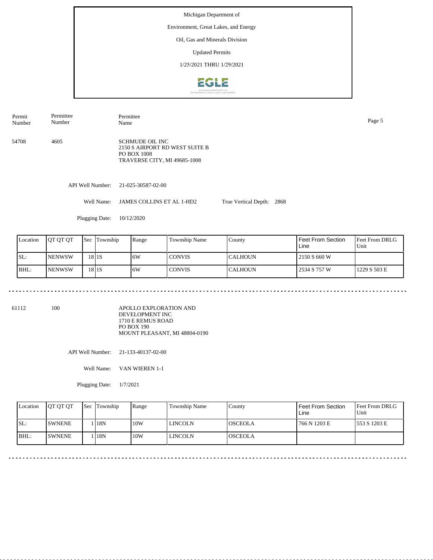Environment, Great Lakes, and Energy

### Oil, Gas and Minerals Division

Updated Permits

1/25/2021 THRU 1/29/2021



API Well Number: 21-025-30587-02-00 Well Name: JAMES COLLINS ET AL 1-HD2 True Vertical Depth: 2868 54708 4605 SCHMUDE OIL INC 2150 S AIRPORT RD WEST SUITE B PO BOX 1008 TRAVERSE CITY, MI 49685-1008 Permit Number Permittee Number Permittee Name Page 5

Plugging Date: 10/12/2020

| Location | <b>OT OT OT</b> | Sec | Township | Range | Township Name | County          | <b>Feet From Section</b><br>Line | <b>Feet From DRLG</b><br>Unit |
|----------|-----------------|-----|----------|-------|---------------|-----------------|----------------------------------|-------------------------------|
| SL:      | <b>INENWSW</b>  |     | 18 I 1 S | 6W    | CONVIS        | <b>ICALHOUN</b> | 2150 S 660 W                     |                               |
| IBHL:    | <b>INENWSW</b>  |     | 18 I 1 S | 6W    | CONVIS        | <b>CALHOUN</b>  | 2534 S 757 W                     | 1229 S 503 E                  |

61112 100

APOLLO EXPLORATION AND DEVELOPMENT INC 1710 E REMUS ROAD PO BOX 190 MOUNT PLEASANT, MI 48804-0190

API Well Number: 21-133-40137-02-00

Well Name: VAN WIEREN 1-1

Plugging Date: 1/7/2021

| Location | <b>IOT OT OT</b> | <b>Sec Township</b> | Range | Township Name | Countv          | Feet From Section<br>Line | <b>Feet From DRLG</b><br>Unit |
|----------|------------------|---------------------|-------|---------------|-----------------|---------------------------|-------------------------------|
| ISL:     | <b>ISWNENE</b>   | . 18N               | 10W   | LINCOLN       | <b>IOSCEOLA</b> | 766 N 1203 E              | 1553 S 1203 E                 |
| IBHL:    | <b>ISWNENE</b>   | 18N                 | 10W   | LINCOLN       | IOSCEOLA        |                           |                               |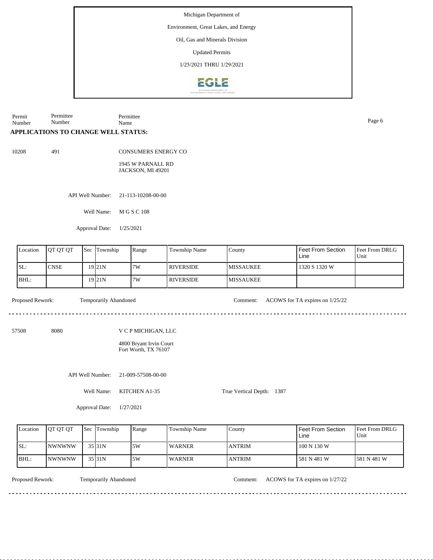Environment, Great Lakes, and Energy

Oil, Gas and Minerals Division

Updated Permits

1/25/2021 THRU 1/29/2021



Permit Number Permittee Number Permittee Name Page 6

# **APPLICATIONS TO CHANGE WELL STATUS:**

10208 491

CONSUMERS ENERGY CO

1945 W PARNALL RD JACKSON, MI 49201

API Well Number: 21-113-10208-00-00

Well Name: M G S C 108

Approval Date: 1/25/2021

| Location         | QT QT QT    | <b>Sec</b> | Township              | Range               | Township Name    | County            | <b>Feet From Section</b><br>Line | Feet From DRLG<br>Unit |
|------------------|-------------|------------|-----------------------|---------------------|------------------|-------------------|----------------------------------|------------------------|
| SL:              | <b>CNSE</b> |            | $19$  21N             | 7W                  | <b>RIVERSIDE</b> | <b>MISSAUKEE</b>  | 1320 S 1320 W                    |                        |
| BHL:             |             |            | $19$  21N             | 7W                  | <b>RIVERSIDE</b> | <b>IMISSAUKEE</b> |                                  |                        |
| Proposed Rework: |             |            | Temporarily Abandoned |                     |                  | Comment:          | ACOWS for TA expires on 1/25/22  |                        |
| 57508            | 8080        |            |                       | V C P MICHIGAN, LLC |                  |                   |                                  |                        |

4800 Bryant Irvin Court Fort Worth, TX 76107

API Well Number: 21-009-57508-00-00

Well Name: KITCHEN A1-35

True Vertical Depth: 1387

Approval Date: 1/27/2021

| Location | <b>IOT OT OT</b> | 'Sec | Township            | Range | <b>Township Name</b> | County        | l Feet From Section.<br>Line | Feet From DRLG<br>Unit |
|----------|------------------|------|---------------------|-------|----------------------|---------------|------------------------------|------------------------|
| ISL:     | <b>INWNWNW</b>   |      | 35 31 N             | 5W    | <b>WARNER</b>        | <b>ANTRIM</b> | 100 N 130 W                  |                        |
| IBHL:    | <b>INWNWNW</b>   |      | $35$ <sub>31N</sub> | 5W    | <b>WARNER</b>        | <b>ANTRIM</b> | 1581 N 481 W                 | 1581 N 481 W           |

Temporarily Abandoned

Proposed Rework: Temporarily Abandoned Comment: ACOWS for TA expires on  $1/27/22$